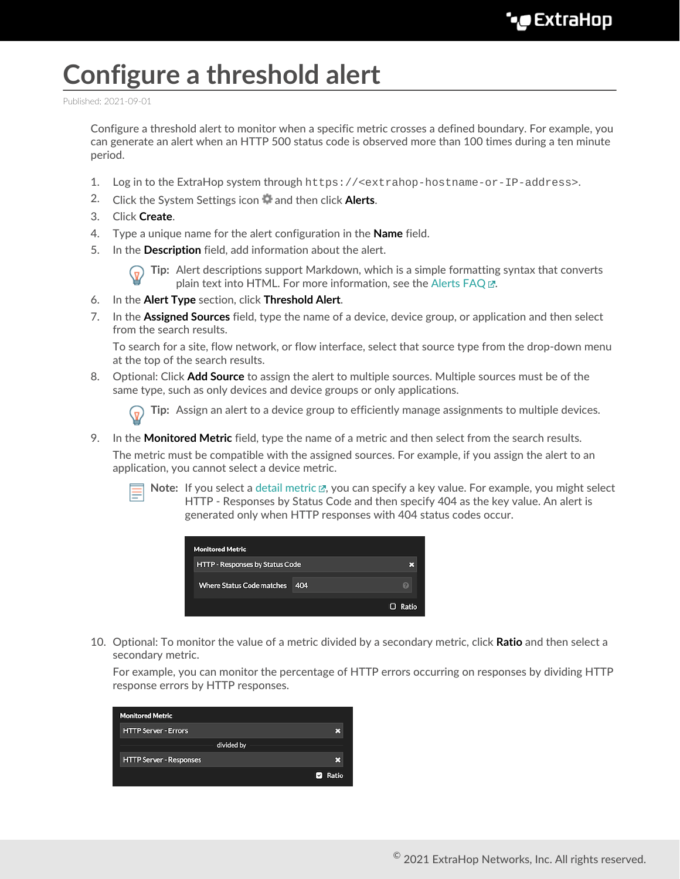## **Configure a threshold alert**

Published: 2021-09-01

Configure a threshold alert to monitor when a specific metric crosses a defined boundary. For example, you can generate an alert when an HTTP 500 status code is observed more than 100 times during a ten minute period.

- 1. Log in to the ExtraHop system through https://<extrahop-hostname-or-IP-address>.
- 2. Click the System Settings icon **a** and then click **Alerts**.
- 3. Click **Create**.
- 4. Type a unique name for the alert configuration in the **Name** field.
- 5. In the **Description** field, add information about the alert.



**Tip:** Alert descriptions support Markdown, which is a simple formatting syntax that converts plain text into HTML. For more information, see the Alerts FAQ E.

- 6. In the **Alert Type** section, click **Threshold Alert**.
- 7. In the **Assigned Sources** field, type the name of a device, device group, or application and then select from the search results.

To search for a site, flow network, or flow interface, select that source type from the drop-down menu at the top of the search results.

8. Optional: Click **Add Source** to assign the alert to multiple sources. Multiple sources must be of the same type, such as only devices and device groups or only applications.

**Tip:** Assign an alert to a device group to efficiently manage assignments to multiple devices.

9. In the **Monitored Metric** field, type the name of a metric and then select from the search results.

The metric must be compatible with the assigned sources. For example, if you assign the alert to an application, you cannot select a device metric.



Note: If you select a [detail metric](https://docs.extrahop.com/8.3/metrics-faq/#what-is-the-difference-between-top-level-and-detail-metrics?) L, you can specify a key value. For example, you might select HTTP - Responses by Status Code and then specify 404 as the key value. An alert is generated only when HTTP responses with 404 status codes occur.



10. Optional: To monitor the value of a metric divided by a secondary metric, click **Ratio** and then select a secondary metric.

For example, you can monitor the percentage of HTTP errors occurring on responses by dividing HTTP response errors by HTTP responses.

| <b>Monitored Metric</b>        |                        |
|--------------------------------|------------------------|
| <b>HTTP Server - Errors</b>    |                        |
| divided by                     |                        |
| <b>HTTP Server - Responses</b> |                        |
|                                | Ratio<br>$\mathcal{L}$ |